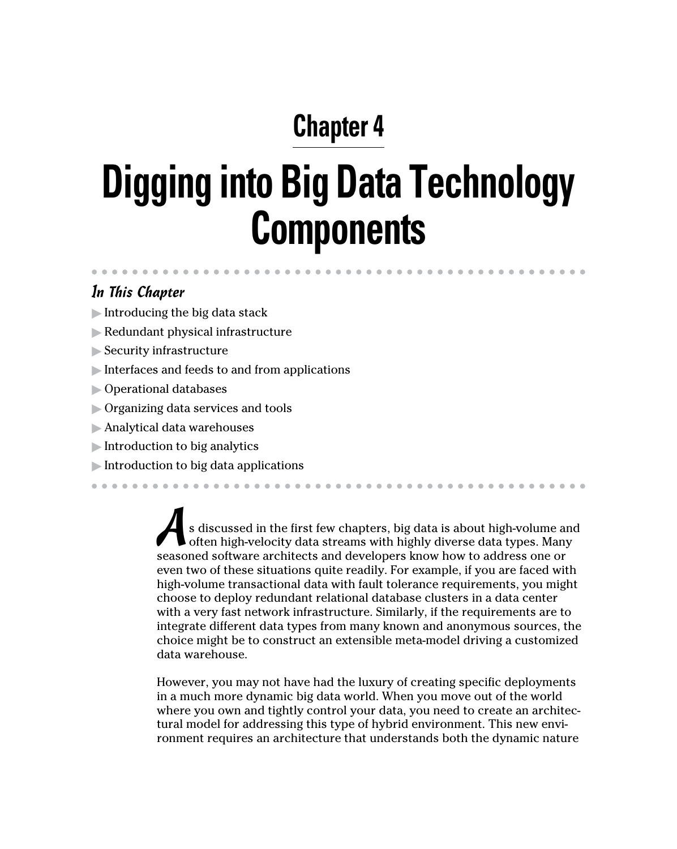## **Chapter 4**

# **Digging into Big Data Technology Components**

. . . . . . . . . .

#### In This Chapter

- ▶ Introducing the big data stack
- ▶ Redundant physical infrastructure
- ▶ Security infrastructure
- $\triangleright$  Interfaces and feeds to and from applications
- ▶ Operational databases
- ▶ Organizing data services and tools
- ▶ Analytical data warehouses
- $\triangleright$  Introduction to big analytics
- ▶ Introduction to big data applications . . . . . . . .

s discussed in the first few chapters, big data is about high-volume and often high-velocity data streams with highly diverse data types. Many seasoned software architects and developers know how to address one or even two of these situations quite readily. For example, if you are faced with high-volume transactional data with fault tolerance requirements, you might choose to deploy redundant relational database clusters in a data center with a very fast network infrastructure. Similarly, if the requirements are to integrate different data types from many known and anonymous sources, the choice might be to construct an extensible meta-model driving a customized data warehouse.

However, you may not have had the luxury of creating specific deployments in a much more dynamic big data world. When you move out of the world where you own and tightly control your data, you need to create an architectural model for addressing this type of hybrid environment. This new environment requires an architecture that understands both the dynamic nature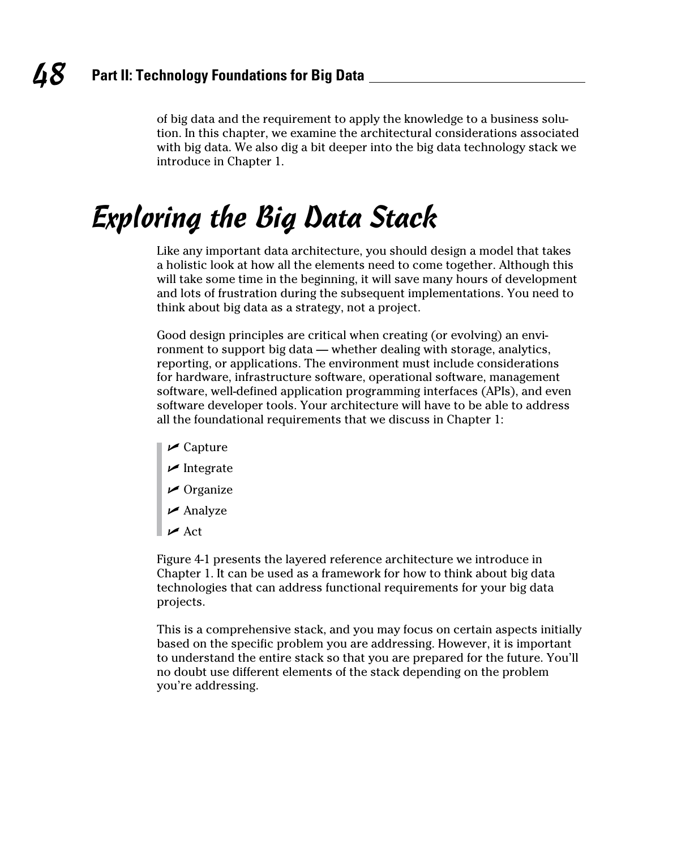of big data and the requirement to apply the knowledge to a business solution. In this chapter, we examine the architectural considerations associated with big data. We also dig a bit deeper into the big data technology stack we introduce in Chapter 1.

#### Exploring the Big Data Stack

Like any important data architecture, you should design a model that takes a holistic look at how all the elements need to come together. Although this will take some time in the beginning, it will save many hours of development and lots of frustration during the subsequent implementations. You need to think about big data as a strategy, not a project.

Good design principles are critical when creating (or evolving) an environment to support big data — whether dealing with storage, analytics, reporting, or applications. The environment must include considerations for hardware, infrastructure software, operational software, management software, well-defined application programming interfaces (APIs), and even software developer tools. Your architecture will have to be able to address all the foundational requirements that we discuss in Chapter 1:

- $\sqrt{c}$  Capture
- $\blacktriangleright$  Integrate
- ✓ Organize
- $\blacktriangleright$  Analyze
- $\blacktriangleright$  Act

Figure 4-1 presents the layered reference architecture we introduce in Chapter 1. It can be used as a framework for how to think about big data technologies that can address functional requirements for your big data projects.

This is a comprehensive stack, and you may focus on certain aspects initially based on the specific problem you are addressing. However, it is important to understand the entire stack so that you are prepared for the future. You'll no doubt use different elements of the stack depending on the problem you're addressing.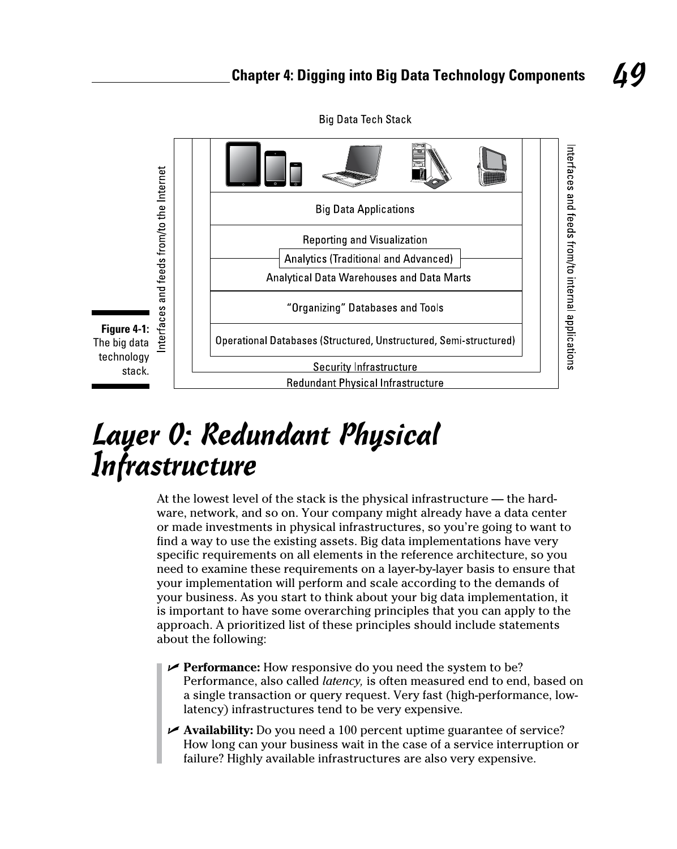

**Big Data Tech Stack** 

#### Layer 0: Redundant Physical Infrastructure

At the lowest level of the stack is the physical infrastructure — the hardware, network, and so on. Your company might already have a data center or made investments in physical infrastructures, so you're going to want to find a way to use the existing assets. Big data implementations have very specific requirements on all elements in the reference architecture, so you need to examine these requirements on a layer-by-layer basis to ensure that your implementation will perform and scale according to the demands of your business. As you start to think about your big data implementation, it is important to have some overarching principles that you can apply to the approach. A prioritized list of these principles should include statements about the following:

- **► Performance:** How responsive do you need the system to be? Performance, also called *latency,* is often measured end to end, based on a single transaction or query request. Very fast (high-performance, lowlatency) infrastructures tend to be very expensive.
- ✓ **Availability:** Do you need a 100 percent uptime guarantee of service? How long can your business wait in the case of a service interruption or failure? Highly available infrastructures are also very expensive.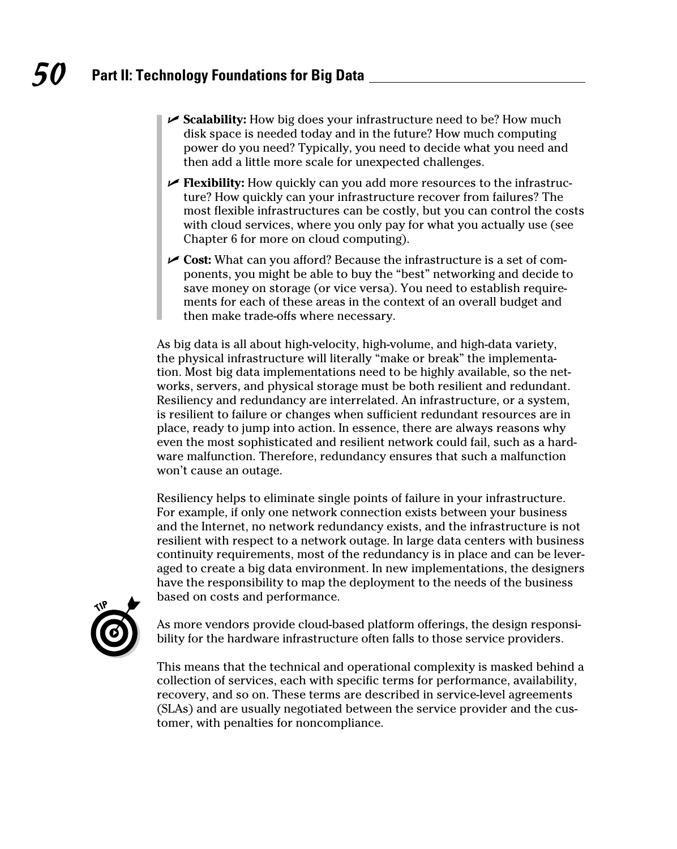- ✓ **Scalability:** How big does your infrastructure need to be? How much disk space is needed today and in the future? How much computing power do you need? Typically, you need to decide what you need and then add a little more scale for unexpected challenges.
- ✓ **Flexibility:** How quickly can you add more resources to the infrastructure? How quickly can your infrastructure recover from failures? The most flexible infrastructures can be costly, but you can control the costs with cloud services, where you only pay for what you actually use (see Chapter 6 for more on cloud computing).
- ✓ **Cost:** What can you afford? Because the infrastructure is a set of components, you might be able to buy the "best" networking and decide to save money on storage (or vice versa). You need to establish requirements for each of these areas in the context of an overall budget and then make trade-offs where necessary.

As big data is all about high-velocity, high-volume, and high-data variety, the physical infrastructure will literally "make or break" the implementation. Most big data implementations need to be highly available, so the networks, servers, and physical storage must be both resilient and redundant. Resiliency and redundancy are interrelated. An infrastructure, or a system, is resilient to failure or changes when sufficient redundant resources are in place, ready to jump into action. In essence, there are always reasons why even the most sophisticated and resilient network could fail, such as a hardware malfunction. Therefore, redundancy ensures that such a malfunction won't cause an outage.

Resiliency helps to eliminate single points of failure in your infrastructure. For example, if only one network connection exists between your business and the Internet, no network redundancy exists, and the infrastructure is not resilient with respect to a network outage. In large data centers with business continuity requirements, most of the redundancy is in place and can be leveraged to create a big data environment. In new implementations, the designers have the responsibility to map the deployment to the needs of the business based on costs and performance.



As more vendors provide cloud-based platform offerings, the design responsibility for the hardware infrastructure often falls to those service providers.

This means that the technical and operational complexity is masked behind a collection of services, each with specific terms for performance, availability, recovery, and so on. These terms are described in service-level agreements (SLAs) and are usually negotiated between the service provider and the customer, with penalties for noncompliance.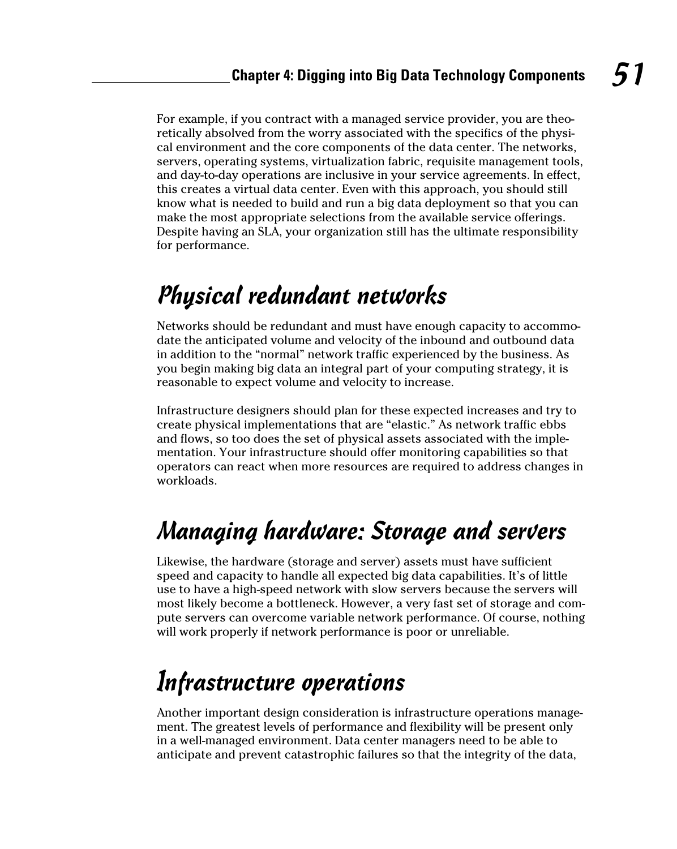For example, if you contract with a managed service provider, you are theoretically absolved from the worry associated with the specifics of the physical environment and the core components of the data center. The networks, servers, operating systems, virtualization fabric, requisite management tools, and day-to-day operations are inclusive in your service agreements. In effect, this creates a virtual data center. Even with this approach, you should still know what is needed to build and run a big data deployment so that you can make the most appropriate selections from the available service offerings. Despite having an SLA, your organization still has the ultimate responsibility for performance.

#### Physical redundant networks

Networks should be redundant and must have enough capacity to accommodate the anticipated volume and velocity of the inbound and outbound data in addition to the "normal" network traffic experienced by the business. As you begin making big data an integral part of your computing strategy, it is reasonable to expect volume and velocity to increase.

Infrastructure designers should plan for these expected increases and try to create physical implementations that are "elastic." As network traffic ebbs and flows, so too does the set of physical assets associated with the implementation. Your infrastructure should offer monitoring capabilities so that operators can react when more resources are required to address changes in workloads.

#### Managing hardware: Storage and servers

Likewise, the hardware (storage and server) assets must have sufficient speed and capacity to handle all expected big data capabilities. It's of little use to have a high-speed network with slow servers because the servers will most likely become a bottleneck. However, a very fast set of storage and compute servers can overcome variable network performance. Of course, nothing will work properly if network performance is poor or unreliable.

#### Infrastructure operations

Another important design consideration is infrastructure operations management. The greatest levels of performance and flexibility will be present only in a well-managed environment. Data center managers need to be able to anticipate and prevent catastrophic failures so that the integrity of the data,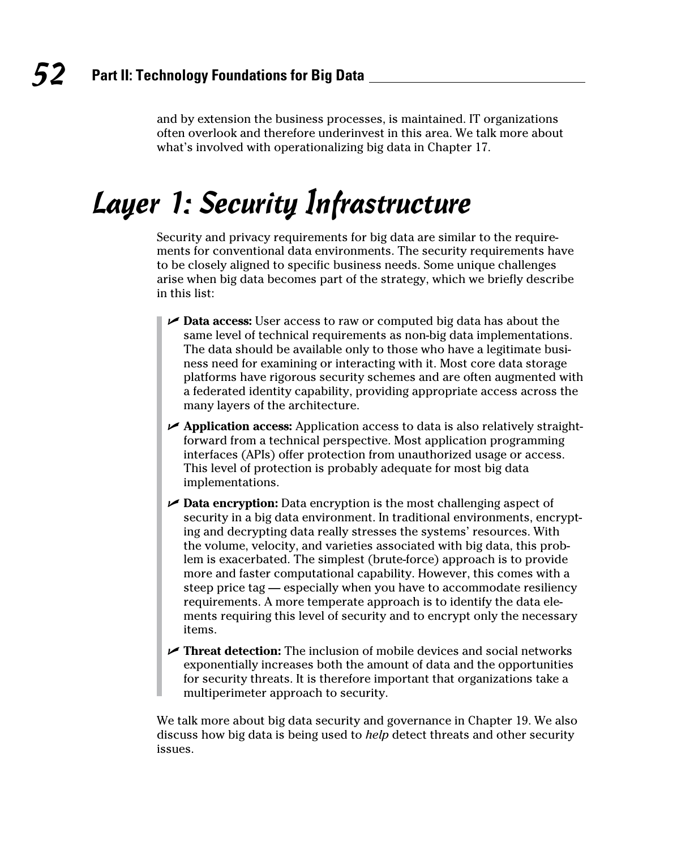and by extension the business processes, is maintained. IT organizations often overlook and therefore underinvest in this area. We talk more about what's involved with operationalizing big data in Chapter 17.

# Layer 1: Security Infrastructure

Security and privacy requirements for big data are similar to the requirements for conventional data environments. The security requirements have to be closely aligned to specific business needs. Some unique challenges arise when big data becomes part of the strategy, which we briefly describe in this list:

- ✓ **Data access:** User access to raw or computed big data has about the same level of technical requirements as non-big data implementations. The data should be available only to those who have a legitimate business need for examining or interacting with it. Most core data storage platforms have rigorous security schemes and are often augmented with a federated identity capability, providing appropriate access across the many layers of the architecture.
- ✓ **Application access:** Application access to data is also relatively straightforward from a technical perspective. Most application programming interfaces (APIs) offer protection from unauthorized usage or access. This level of protection is probably adequate for most big data implementations.
- ✓ **Data encryption:** Data encryption is the most challenging aspect of security in a big data environment. In traditional environments, encrypting and decrypting data really stresses the systems' resources. With the volume, velocity, and varieties associated with big data, this problem is exacerbated. The simplest (brute-force) approach is to provide more and faster computational capability. However, this comes with a steep price tag — especially when you have to accommodate resiliency requirements. A more temperate approach is to identify the data elements requiring this level of security and to encrypt only the necessary items.
- ✓ **Threat detection:** The inclusion of mobile devices and social networks exponentially increases both the amount of data and the opportunities for security threats. It is therefore important that organizations take a multiperimeter approach to security.

We talk more about big data security and governance in Chapter 19. We also discuss how big data is being used to *help* detect threats and other security issues.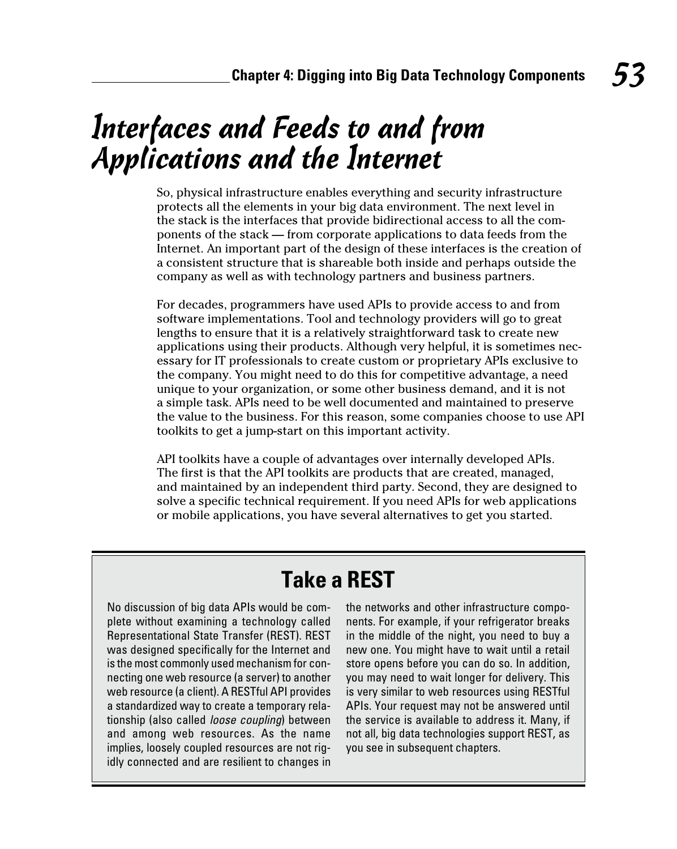#### Interfaces and Feeds to and from Applications and the Internet

So, physical infrastructure enables everything and security infrastructure protects all the elements in your big data environment. The next level in the stack is the interfaces that provide bidirectional access to all the components of the stack — from corporate applications to data feeds from the Internet. An important part of the design of these interfaces is the creation of a consistent structure that is shareable both inside and perhaps outside the company as well as with technology partners and business partners.

For decades, programmers have used APIs to provide access to and from software implementations. Tool and technology providers will go to great lengths to ensure that it is a relatively straightforward task to create new applications using their products. Although very helpful, it is sometimes necessary for IT professionals to create custom or proprietary APIs exclusive to the company. You might need to do this for competitive advantage, a need unique to your organization, or some other business demand, and it is not a simple task. APIs need to be well documented and maintained to preserve the value to the business. For this reason, some companies choose to use API toolkits to get a jump-start on this important activity.

API toolkits have a couple of advantages over internally developed APIs. The first is that the API toolkits are products that are created, managed, and maintained by an independent third party. Second, they are designed to solve a specific technical requirement. If you need APIs for web applications or mobile applications, you have several alternatives to get you started.

#### **Take a REST**

No discussion of big data APIs would be complete without examining a technology called Representational State Transfer (REST). REST was designed specifically for the Internet and is the most commonly used mechanism for connecting one web resource (a server) to another web resource (a client). A RESTful API provides a standardized way to create a temporary relationship (also called *loose coupling*) between and among web resources. As the name implies, loosely coupled resources are not rigidly connected and are resilient to changes in

the networks and other infrastructure components. For example, if your refrigerator breaks in the middle of the night, you need to buy a new one. You might have to wait until a retail store opens before you can do so. In addition, you may need to wait longer for delivery. This is very similar to web resources using RESTful APIs. Your request may not be answered until the service is available to address it. Many, if not all, big data technologies support REST, as you see in subsequent chapters.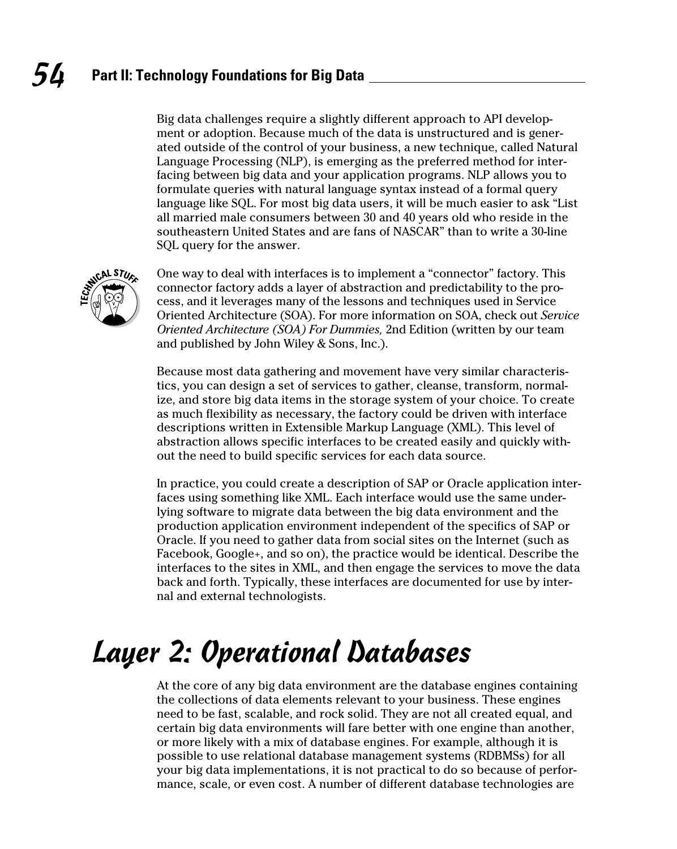Big data challenges require a slightly different approach to API development or adoption. Because much of the data is unstructured and is generated outside of the control of your business, a new technique, called Natural Language Processing (NLP), is emerging as the preferred method for interfacing between big data and your application programs. NLP allows you to formulate queries with natural language syntax instead of a formal query language like SQL. For most big data users, it will be much easier to ask "List all married male consumers between 30 and 40 years old who reside in the southeastern United States and are fans of NASCAR" than to write a 30-line SQL query for the answer.



One way to deal with interfaces is to implement a "connector" factory. This connector factory adds a layer of abstraction and predictability to the process, and it leverages many of the lessons and techniques used in Service Oriented Architecture (SOA). For more information on SOA, check out *Service Oriented Architecture (SOA) For Dummies,* 2nd Edition (written by our team and published by John Wiley & Sons, Inc.).

Because most data gathering and movement have very similar characteristics, you can design a set of services to gather, cleanse, transform, normalize, and store big data items in the storage system of your choice. To create as much flexibility as necessary, the factory could be driven with interface descriptions written in Extensible Markup Language (XML). This level of abstraction allows specific interfaces to be created easily and quickly without the need to build specific services for each data source.

In practice, you could create a description of SAP or Oracle application interfaces using something like XML. Each interface would use the same underlying software to migrate data between the big data environment and the production application environment independent of the specifics of SAP or Oracle. If you need to gather data from social sites on the Internet (such as Facebook, Google+, and so on), the practice would be identical. Describe the interfaces to the sites in XML, and then engage the services to move the data back and forth. Typically, these interfaces are documented for use by internal and external technologists.

#### Layer 2: Operational Databases

At the core of any big data environment are the database engines containing the collections of data elements relevant to your business. These engines need to be fast, scalable, and rock solid. They are not all created equal, and certain big data environments will fare better with one engine than another, or more likely with a mix of database engines. For example, although it is possible to use relational database management systems (RDBMSs) for all your big data implementations, it is not practical to do so because of performance, scale, or even cost. A number of different database technologies are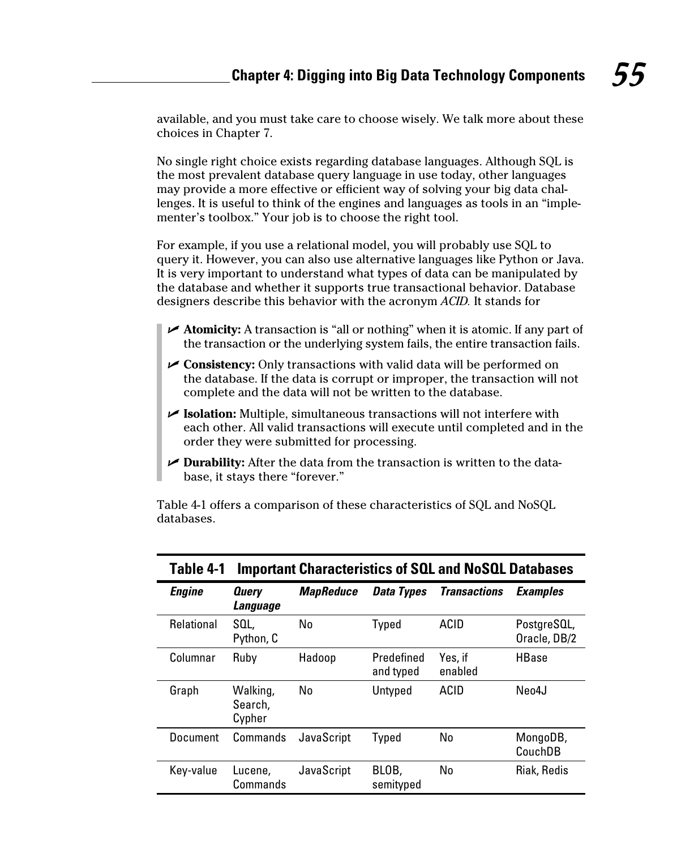No single right choice exists regarding database languages. Although SQL is the most prevalent database query language in use today, other languages may provide a more effective or efficient way of solving your big data challenges. It is useful to think of the engines and languages as tools in an "implementer's toolbox." Your job is to choose the right tool.

For example, if you use a relational model, you will probably use SQL to query it. However, you can also use alternative languages like Python or Java. It is very important to understand what types of data can be manipulated by the database and whether it supports true transactional behavior. Database designers describe this behavior with the acronym *ACID.* It stands for

- ✓ **Atomicity:** A transaction is "all or nothing" when it is atomic. If any part of the transaction or the underlying system fails, the entire transaction fails.
- ✓ **Consistency:** Only transactions with valid data will be performed on the database. If the data is corrupt or improper, the transaction will not complete and the data will not be written to the database.
- ✓ **Isolation:** Multiple, simultaneous transactions will not interfere with each other. All valid transactions will execute until completed and in the order they were submitted for processing.
- ✓ **Durability:** After the data from the transaction is written to the database, it stays there "forever."

Table 4-1 offers a comparison of these characteristics of SQL and NoSQL databases.

| Table 4-1       | <b>Important Characteristics of SQL and NoSQL Databases</b> |                         |                         |                     |                             |
|-----------------|-------------------------------------------------------------|-------------------------|-------------------------|---------------------|-----------------------------|
| <b>Engine</b>   | <b>Query</b><br>Language                                    | <i><b>MapReduce</b></i> | Data Types              | <b>Transactions</b> | <b>Examples</b>             |
| Relational      | SQL.<br>Python, C                                           | No                      | Typed                   | ACID                | PostgreSQL,<br>Oracle, DB/2 |
| Columnar        | Ruby                                                        | Hadoop                  | Predefined<br>and typed | Yes, if<br>enabled  | <b>H</b> Base               |
| Graph           | Walking,<br>Search,<br>Cypher                               | No                      | Untyped                 | ACID                | Neo4J                       |
| <b>Document</b> | Commands                                                    | JavaScript              | Typed                   | No                  | MongoDB,<br>CouchDB         |
| Key-value       | Lucene,<br>Commands                                         | <b>JavaScript</b>       | BLOB,<br>semityped      | No                  | Riak, Redis                 |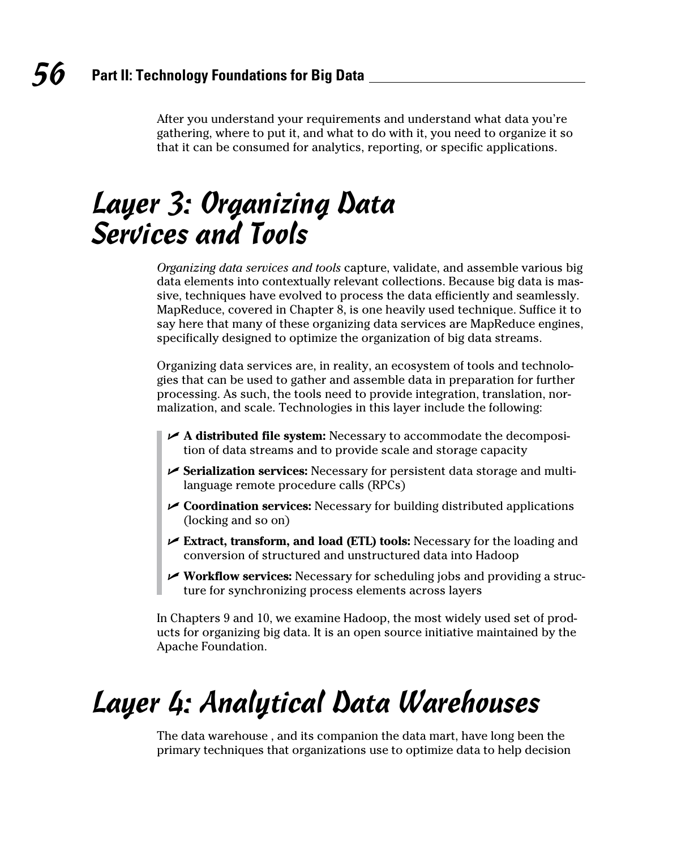After you understand your requirements and understand what data you're gathering, where to put it, and what to do with it, you need to organize it so that it can be consumed for analytics, reporting, or specific applications.

#### Layer 3: Organizing Data Services and Tools

*Organizing data services and tools* capture, validate, and assemble various big data elements into contextually relevant collections. Because big data is massive, techniques have evolved to process the data efficiently and seamlessly. MapReduce, covered in Chapter 8, is one heavily used technique. Suffice it to say here that many of these organizing data services are MapReduce engines, specifically designed to optimize the organization of big data streams.

Organizing data services are, in reality, an ecosystem of tools and technologies that can be used to gather and assemble data in preparation for further processing. As such, the tools need to provide integration, translation, normalization, and scale. Technologies in this layer include the following:

- ✓ **A distributed file system:** Necessary to accommodate the decomposition of data streams and to provide scale and storage capacity
- ✓ **Serialization services:** Necessary for persistent data storage and multilanguage remote procedure calls (RPCs)
- ✓ **Coordination services:** Necessary for building distributed applications (locking and so on)
- ✓ **Extract, transform, and load (ETL) tools:** Necessary for the loading and conversion of structured and unstructured data into Hadoop
- ✓ **Workflow services:** Necessary for scheduling jobs and providing a structure for synchronizing process elements across layers

In Chapters 9 and 10, we examine Hadoop, the most widely used set of products for organizing big data. It is an open source initiative maintained by the Apache Foundation.

# Layer 4: Analytical Data Warehouses

The data warehouse , and its companion the data mart, have long been the primary techniques that organizations use to optimize data to help decision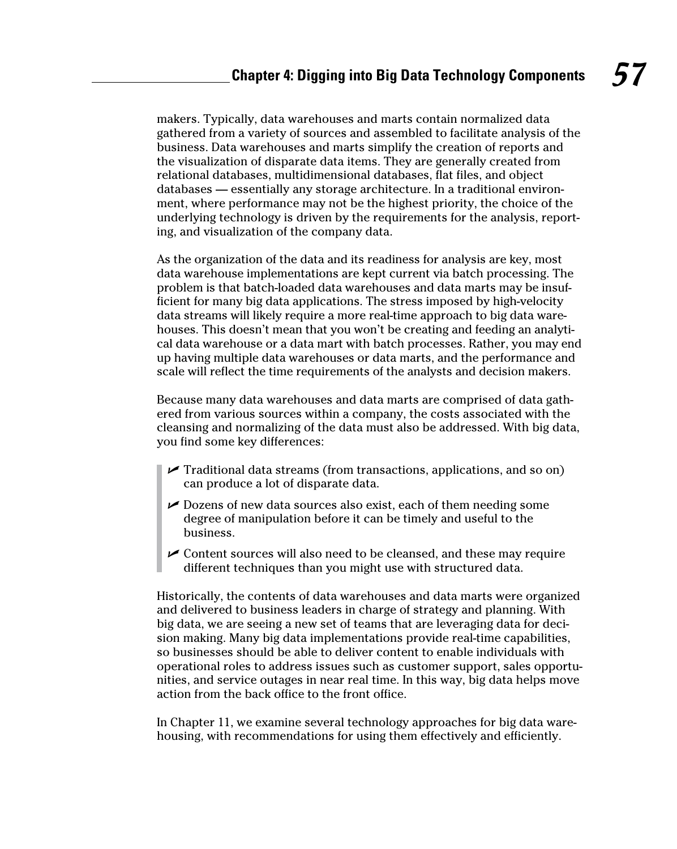makers. Typically, data warehouses and marts contain normalized data gathered from a variety of sources and assembled to facilitate analysis of the business. Data warehouses and marts simplify the creation of reports and the visualization of disparate data items. They are generally created from relational databases, multidimensional databases, flat files, and object databases — essentially any storage architecture. In a traditional environment, where performance may not be the highest priority, the choice of the underlying technology is driven by the requirements for the analysis, reporting, and visualization of the company data.

As the organization of the data and its readiness for analysis are key, most data warehouse implementations are kept current via batch processing. The problem is that batch-loaded data warehouses and data marts may be insufficient for many big data applications. The stress imposed by high-velocity data streams will likely require a more real-time approach to big data warehouses. This doesn't mean that you won't be creating and feeding an analytical data warehouse or a data mart with batch processes. Rather, you may end up having multiple data warehouses or data marts, and the performance and scale will reflect the time requirements of the analysts and decision makers.

Because many data warehouses and data marts are comprised of data gathered from various sources within a company, the costs associated with the cleansing and normalizing of the data must also be addressed. With big data, you find some key differences:

- $\triangleright$  Traditional data streams (from transactions, applications, and so on) can produce a lot of disparate data.
- $\triangleright$  Dozens of new data sources also exist, each of them needing some degree of manipulation before it can be timely and useful to the business.
- $\triangleright$  Content sources will also need to be cleansed, and these may require different techniques than you might use with structured data.

Historically, the contents of data warehouses and data marts were organized and delivered to business leaders in charge of strategy and planning. With big data, we are seeing a new set of teams that are leveraging data for decision making. Many big data implementations provide real-time capabilities, so businesses should be able to deliver content to enable individuals with operational roles to address issues such as customer support, sales opportunities, and service outages in near real time. In this way, big data helps move action from the back office to the front office.

In Chapter 11, we examine several technology approaches for big data warehousing, with recommendations for using them effectively and efficiently.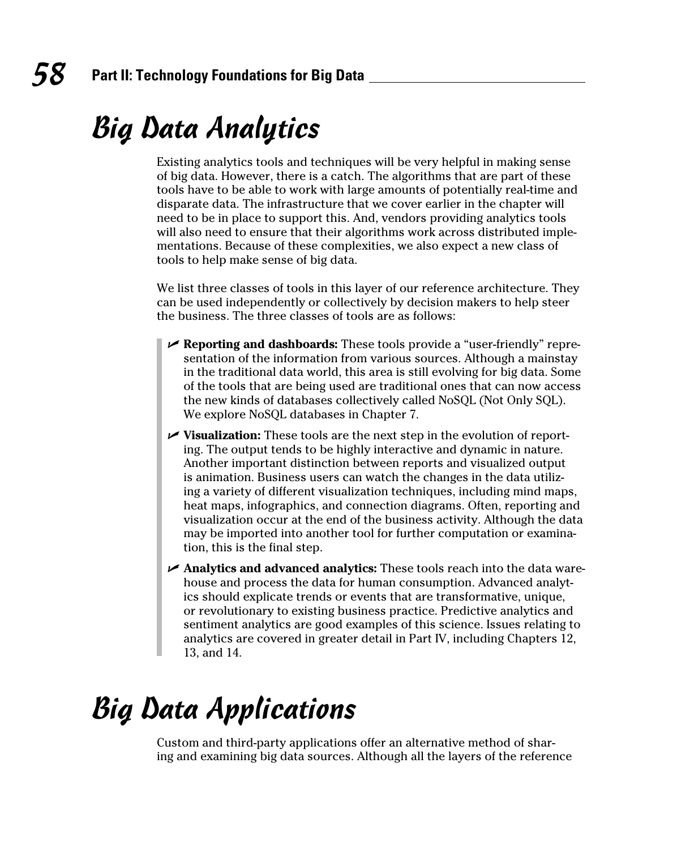# Big Data Analytics

Existing analytics tools and techniques will be very helpful in making sense of big data. However, there is a catch. The algorithms that are part of these tools have to be able to work with large amounts of potentially real-time and disparate data. The infrastructure that we cover earlier in the chapter will need to be in place to support this. And, vendors providing analytics tools will also need to ensure that their algorithms work across distributed implementations. Because of these complexities, we also expect a new class of tools to help make sense of big data.

We list three classes of tools in this layer of our reference architecture. They can be used independently or collectively by decision makers to help steer the business. The three classes of tools are as follows:

- ✓ **Reporting and dashboards:** These tools provide a "user-friendly" representation of the information from various sources. Although a mainstay in the traditional data world, this area is still evolving for big data. Some of the tools that are being used are traditional ones that can now access the new kinds of databases collectively called NoSQL (Not Only SQL). We explore NoSQL databases in Chapter 7.
- ✓ **Visualization:** These tools are the next step in the evolution of reporting. The output tends to be highly interactive and dynamic in nature. Another important distinction between reports and visualized output is animation. Business users can watch the changes in the data utilizing a variety of different visualization techniques, including mind maps, heat maps, infographics, and connection diagrams. Often, reporting and visualization occur at the end of the business activity. Although the data may be imported into another tool for further computation or examination, this is the final step.
- ✓ **Analytics and advanced analytics:** These tools reach into the data warehouse and process the data for human consumption. Advanced analytics should explicate trends or events that are transformative, unique, or revolutionary to existing business practice. Predictive analytics and sentiment analytics are good examples of this science. Issues relating to analytics are covered in greater detail in Part IV, including Chapters 12, 13, and 14.

# Big Data Applications

Custom and third-party applications offer an alternative method of sharing and examining big data sources. Although all the layers of the reference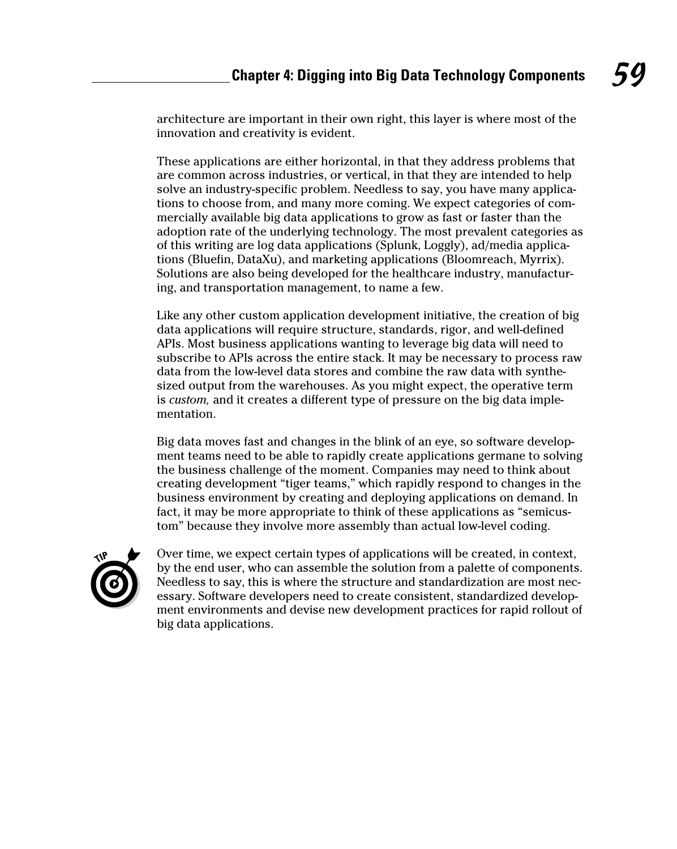architecture are important in their own right, this layer is where most of the innovation and creativity is evident.

These applications are either horizontal, in that they address problems that are common across industries, or vertical, in that they are intended to help solve an industry-specific problem. Needless to say, you have many applications to choose from, and many more coming. We expect categories of commercially available big data applications to grow as fast or faster than the adoption rate of the underlying technology. The most prevalent categories as of this writing are log data applications (Splunk, Loggly), ad/media applications (Bluefin, DataXu), and marketing applications (Bloomreach, Myrrix). Solutions are also being developed for the healthcare industry, manufacturing, and transportation management, to name a few.

Like any other custom application development initiative, the creation of big data applications will require structure, standards, rigor, and well-defined APIs. Most business applications wanting to leverage big data will need to subscribe to APIs across the entire stack. It may be necessary to process raw data from the low-level data stores and combine the raw data with synthesized output from the warehouses. As you might expect, the operative term is *custom,* and it creates a different type of pressure on the big data implementation.

Big data moves fast and changes in the blink of an eye, so software development teams need to be able to rapidly create applications germane to solving the business challenge of the moment. Companies may need to think about creating development "tiger teams," which rapidly respond to changes in the business environment by creating and deploying applications on demand. In fact, it may be more appropriate to think of these applications as "semicustom" because they involve more assembly than actual low-level coding.



Over time, we expect certain types of applications will be created, in context, by the end user, who can assemble the solution from a palette of components. Needless to say, this is where the structure and standardization are most necessary. Software developers need to create consistent, standardized development environments and devise new development practices for rapid rollout of big data applications.